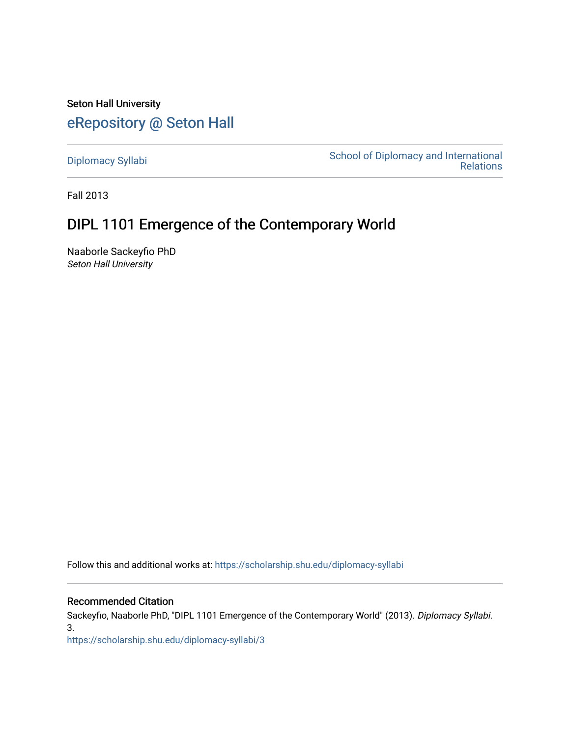Seton Hall University [eRepository @ Seton Hall](https://scholarship.shu.edu/)

[Diplomacy Syllabi](https://scholarship.shu.edu/diplomacy-syllabi) [School of Diplomacy and International](https://scholarship.shu.edu/diplomacy)  [Relations](https://scholarship.shu.edu/diplomacy) 

Fall 2013

# DIPL 1101 Emergence of the Contemporary World

Naaborle Sackeyfio PhD Seton Hall University

Follow this and additional works at: [https://scholarship.shu.edu/diplomacy-syllabi](https://scholarship.shu.edu/diplomacy-syllabi?utm_source=scholarship.shu.edu%2Fdiplomacy-syllabi%2F3&utm_medium=PDF&utm_campaign=PDFCoverPages) 

## Recommended Citation

Sackeyfio, Naaborle PhD, "DIPL 1101 Emergence of the Contemporary World" (2013). Diplomacy Syllabi. 3.

[https://scholarship.shu.edu/diplomacy-syllabi/3](https://scholarship.shu.edu/diplomacy-syllabi/3?utm_source=scholarship.shu.edu%2Fdiplomacy-syllabi%2F3&utm_medium=PDF&utm_campaign=PDFCoverPages)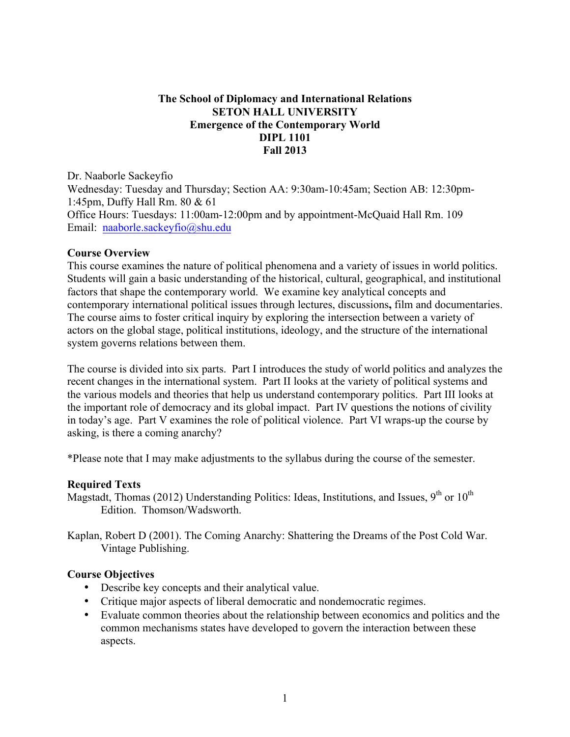## **The School of Diplomacy and International Relations SETON HALL UNIVERSITY Emergence of the Contemporary World DIPL 1101 Fall 2013**

Dr. Naaborle Sackeyfio Wednesday: Tuesday and Thursday; Section AA: 9:30am-10:45am; Section AB: 12:30pm-1:45pm, Duffy Hall Rm. 80 & 61 Office Hours: Tuesdays: 11:00am-12:00pm and by appointment-McQuaid Hall Rm. 109 Email: naaborle.sackeyfio@shu.edu

## **Course Overview**

This course examines the nature of political phenomena and a variety of issues in world politics. Students will gain a basic understanding of the historical, cultural, geographical, and institutional factors that shape the contemporary world. We examine key analytical concepts and contemporary international political issues through lectures, discussions**,** film and documentaries. The course aims to foster critical inquiry by exploring the intersection between a variety of actors on the global stage, political institutions, ideology, and the structure of the international system governs relations between them.

The course is divided into six parts. Part I introduces the study of world politics and analyzes the recent changes in the international system. Part II looks at the variety of political systems and the various models and theories that help us understand contemporary politics. Part III looks at the important role of democracy and its global impact. Part IV questions the notions of civility in today's age. Part V examines the role of political violence. Part VI wraps-up the course by asking, is there a coming anarchy?

\*Please note that I may make adjustments to the syllabus during the course of the semester.

## **Required Texts**

Magstadt, Thomas (2012) Understanding Politics: Ideas, Institutions, and Issues, 9<sup>th</sup> or 10<sup>th</sup> Edition. Thomson/Wadsworth.

Kaplan, Robert D (2001). The Coming Anarchy: Shattering the Dreams of the Post Cold War. Vintage Publishing.

## **Course Objectives**

- Describe key concepts and their analytical value.
- Critique major aspects of liberal democratic and nondemocratic regimes.
- Evaluate common theories about the relationship between economics and politics and the common mechanisms states have developed to govern the interaction between these aspects.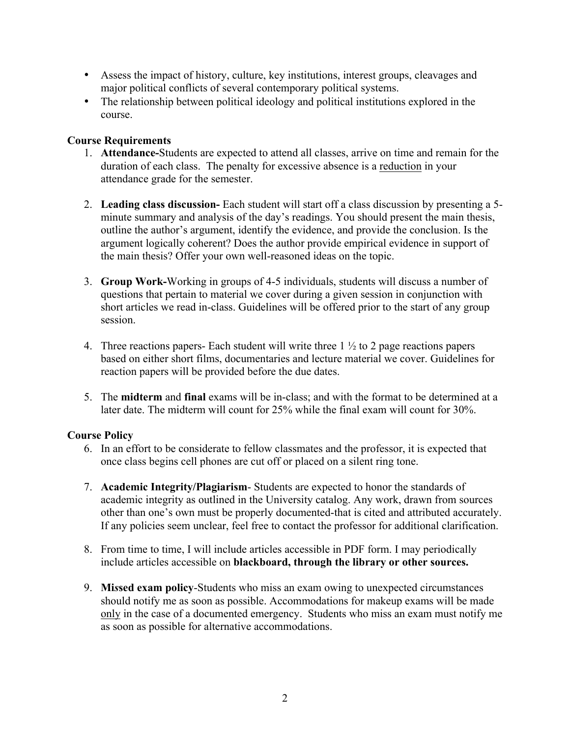- Assess the impact of history, culture, key institutions, interest groups, cleavages and major political conflicts of several contemporary political systems.
- The relationship between political ideology and political institutions explored in the course.

## **Course Requirements**

- 1. **Attendance-**Students are expected to attend all classes, arrive on time and remain for the duration of each class. The penalty for excessive absence is a reduction in your attendance grade for the semester.
- 2. **Leading class discussion-** Each student will start off a class discussion by presenting a 5 minute summary and analysis of the day's readings. You should present the main thesis, outline the author's argument, identify the evidence, and provide the conclusion. Is the argument logically coherent? Does the author provide empirical evidence in support of the main thesis? Offer your own well-reasoned ideas on the topic.
- 3. **Group Work-**Working in groups of 4-5 individuals, students will discuss a number of questions that pertain to material we cover during a given session in conjunction with short articles we read in-class. Guidelines will be offered prior to the start of any group session.
- 4. Three reactions papers- Each student will write three  $1 \frac{1}{2}$  to 2 page reactions papers based on either short films, documentaries and lecture material we cover. Guidelines for reaction papers will be provided before the due dates.
- 5. The **midterm** and **final** exams will be in-class; and with the format to be determined at a later date. The midterm will count for 25% while the final exam will count for 30%.

## **Course Policy**

- 6. In an effort to be considerate to fellow classmates and the professor, it is expected that once class begins cell phones are cut off or placed on a silent ring tone.
- 7. **Academic Integrity/Plagiarism** Students are expected to honor the standards of academic integrity as outlined in the University catalog. Any work, drawn from sources other than one's own must be properly documented-that is cited and attributed accurately. If any policies seem unclear, feel free to contact the professor for additional clarification.
- 8. From time to time, I will include articles accessible in PDF form. I may periodically include articles accessible on **blackboard, through the library or other sources.**
- 9. **Mi***s***sed exam policy**-Students who miss an exam owing to unexpected circumstances should notify me as soon as possible. Accommodations for makeup exams will be made only in the case of a documented emergency. Students who miss an exam must notify me as soon as possible for alternative accommodations.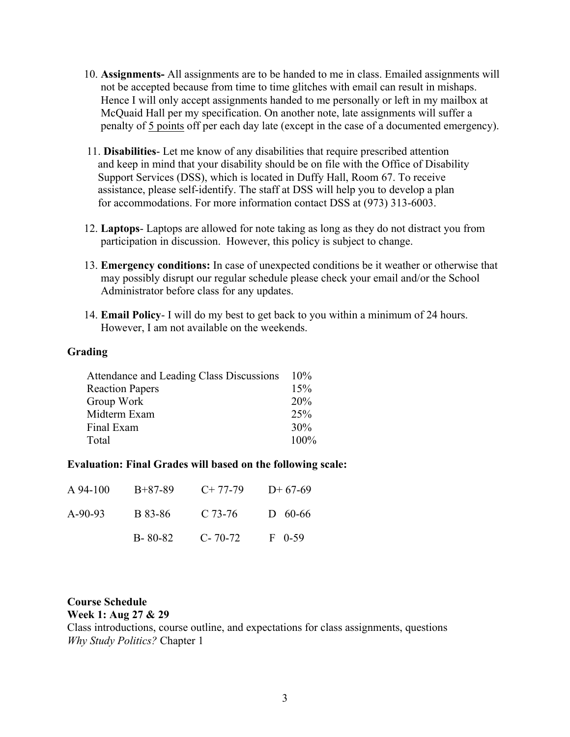- 10. **Assignments-** All assignments are to be handed to me in class. Emailed assignments will not be accepted because from time to time glitches with email can result in mishaps. Hence I will only accept assignments handed to me personally or left in my mailbox at McQuaid Hall per my specification. On another note, late assignments will suffer a penalty of 5 points off per each day late (except in the case of a documented emergency).
- 11. **Disabilities** Let me know of any disabilities that require prescribed attention and keep in mind that your disability should be on file with the Office of Disability Support Services (DSS), which is located in Duffy Hall, Room 67. To receive assistance, please self-identify. The staff at DSS will help you to develop a plan for accommodations. For more information contact DSS at (973) 313-6003.
- 12. **Laptops** Laptops are allowed for note taking as long as they do not distract you from participation in discussion. However, this policy is subject to change.
- 13. **Emergency conditions:** In case of unexpected conditions be it weather or otherwise that may possibly disrupt our regular schedule please check your email and/or the School Administrator before class for any updates.
- 14. **Email Policy** I will do my best to get back to you within a minimum of 24 hours. However, I am not available on the weekends.

## **Grading**

| Attendance and Leading Class Discussions | $10\%$  |
|------------------------------------------|---------|
| <b>Reaction Papers</b>                   | 15%     |
| Group Work                               | 20%     |
| Midterm Exam                             | 25%     |
| Final Exam                               | 30%     |
| Total                                    | $100\%$ |
|                                          |         |

#### **Evaluation: Final Grades will based on the following scale:**

| A 94-100  | B+87-89 | $C+77-79$     | $D+67-69$   |
|-----------|---------|---------------|-------------|
| $A-90-93$ | B 83-86 | C 73-76       | $D = 60-66$ |
|           | B-80-82 | $C - 70 - 72$ | $F = 0.59$  |

## **Course Schedule**

**Week 1: Aug 27 & 29**

Class introductions, course outline, and expectations for class assignments, questions *Why Study Politics?* Chapter 1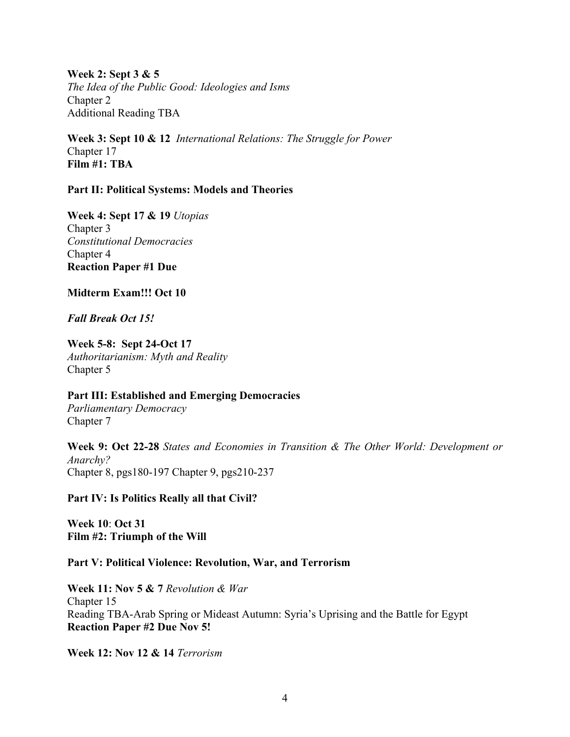**Week 2: Sept 3 & 5** *The Idea of the Public Good: Ideologies and Isms* Chapter 2 Additional Reading TBA

**Week 3: Sept 10 & 12** *International Relations: The Struggle for Power* Chapter 17 **Film #1: TBA**

## **Part II: Political Systems: Models and Theories**

**Week 4: Sept 17 & 19** *Utopias* Chapter 3 *Constitutional Democracies* Chapter 4 **Reaction Paper #1 Due**

**Midterm Exam!!! Oct 10**

*Fall Break Oct 15!*

**Week 5-8: Sept 24-Oct 17** *Authoritarianism: Myth and Reality* Chapter 5

**Part III: Established and Emerging Democracies** *Parliamentary Democracy*

Chapter 7

**Week 9: Oct 22-28** *States and Economies in Transition & The Other World: Development or Anarchy?* Chapter 8, pgs180-197 Chapter 9, pgs210-237

**Part IV: Is Politics Really all that Civil?**

**Week 10**: **Oct 31 Film #2: Triumph of the Will**

## **Part V: Political Violence: Revolution, War, and Terrorism**

**Week 11: Nov 5 & 7** *Revolution & War* Chapter 15 Reading TBA-Arab Spring or Mideast Autumn: Syria's Uprising and the Battle for Egypt **Reaction Paper #2 Due Nov 5!**

**Week 12: Nov 12 & 14** *Terrorism*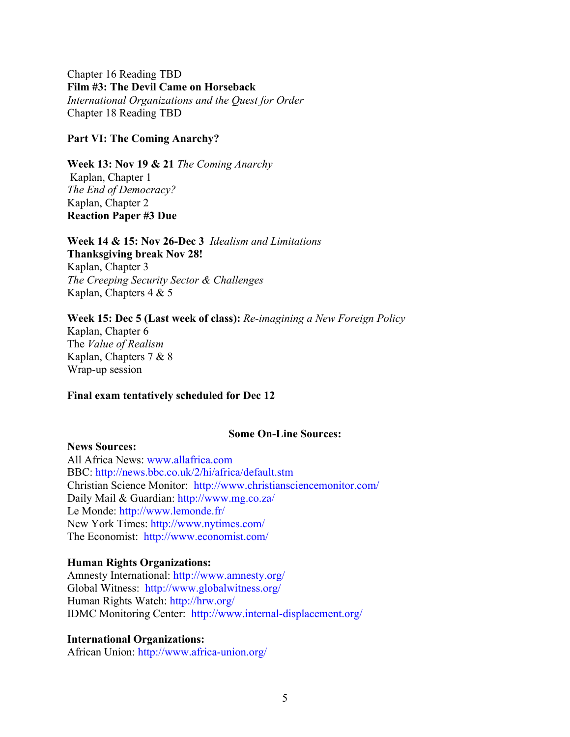Chapter 16 Reading TBD **Film #3: The Devil Came on Horseback** *International Organizations and the Quest for Order* Chapter 18 Reading TBD

#### **Part VI: The Coming Anarchy?**

**Week 13: Nov 19 & 21** *The Coming Anarchy* Kaplan, Chapter 1 *The End of Democracy?* Kaplan, Chapter 2 **Reaction Paper #3 Due**

## **Week 14 & 15: Nov 26-Dec 3** *Idealism and Limitations*

**Thanksgiving break Nov 28!** Kaplan, Chapter 3 *The Creeping Security Sector & Challenges* Kaplan, Chapters 4 & 5

#### **Week 15: Dec 5 (Last week of class):** *Re-imagining a New Foreign Policy*

Kaplan, Chapter 6 The *Value of Realism* Kaplan, Chapters 7 & 8 Wrap-up session

#### **Final exam tentatively scheduled for Dec 12**

#### **Some On-Line Sources:**

## **News Sources:**

All Africa News: www.allafrica.com BBC: http://news.bbc.co.uk/2/hi/africa/default.stm Christian Science Monitor: http://www.christiansciencemonitor.com/ Daily Mail & Guardian: http://www.mg.co.za/ Le Monde: http://www.lemonde.fr/ New York Times: http://www.nytimes.com/ The Economist: http://www.economist.com/

#### **Human Rights Organizations:**

Amnesty International: http://www.amnesty.org/ Global Witness: http://www.globalwitness.org/ Human Rights Watch: http://hrw.org/ IDMC Monitoring Center: http://www.internal-displacement.org/

## **International Organizations:**

African Union: http://www.africa-union.org/